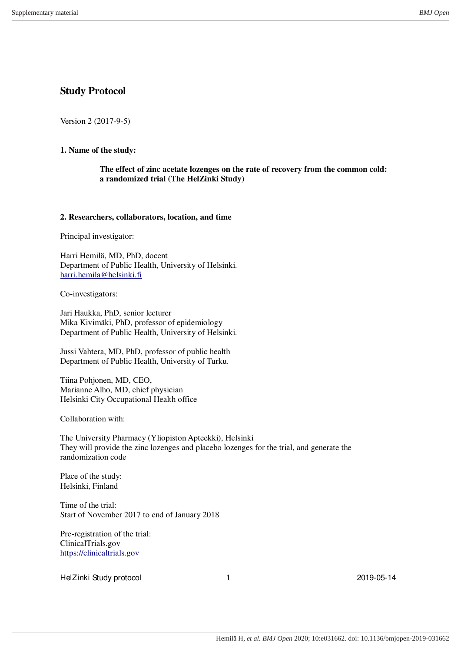# **Study Protocol**

Version 2 (2017-9-5)

# **1. Name of the study:**

**The effect of zinc acetate lozenges on the rate of recovery from the common cold: a randomized trial (The HelZinki Study)**

### **2. Researchers, collaborators, location, and time**

Principal investigator:

Harri Hemilä, MD, PhD, docent Department of Public Health, University of Helsinki. [harri.hemila@helsinki.fi](mailto:harri.hemila@helsinki.fi)

Co-investigators:

Jari Haukka, PhD, senior lecturer Mika Kivimäki, PhD, professor of epidemiology Department of Public Health, University of Helsinki.

Jussi Vahtera, MD, PhD, professor of public health Department of Public Health, University of Turku.

Tiina Pohjonen, MD, CEO, Marianne Alho, MD, chief physician Helsinki City Occupational Health office

Collaboration with:

The University Pharmacy (Yliopiston Apteekki), Helsinki They will provide the zinc lozenges and placebo lozenges for the trial, and generate the randomization code

Place of the study: Helsinki, Finland

Time of the trial: Start of November 2017 to end of January 2018

Pre-registration of the trial: ClinicalTrials.gov [https://clinicaltrials.gov](https://clinicaltrials.gov/)

HelZinki Study protocol 1 1 2019-05-14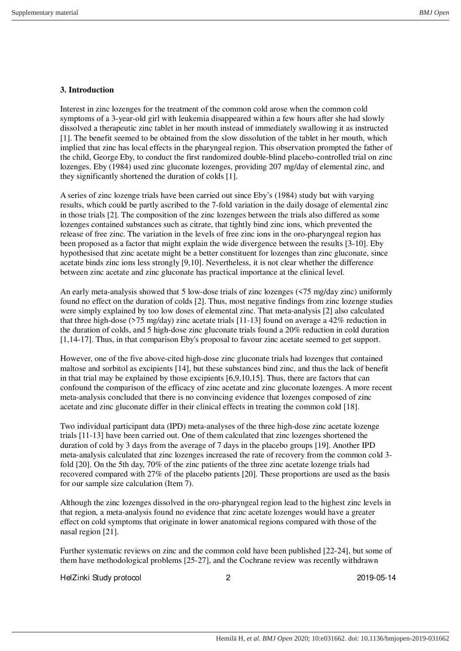# **3. Introduction**

Interest in zinc lozenges for the treatment of the common cold arose when the common cold symptoms of a 3-year-old girl with leukemia disappeared within a few hours after she had slowly dissolved a therapeutic zinc tablet in her mouth instead of immediately swallowing it as instructed [1]. The benefit seemed to be obtained from the slow dissolution of the tablet in her mouth, which implied that zinc has local effects in the pharyngeal region. This observation prompted the father of the child, George Eby, to conduct the first randomized double-blind placebo-controlled trial on zinc lozenges. Eby (1984) used zinc gluconate lozenges, providing 207 mg/day of elemental zinc, and they significantly shortened the duration of colds [1].

A series of zinc lozenge trials have been carried out since Eby's (1984) study but with varying results, which could be partly ascribed to the 7-fold variation in the daily dosage of elemental zinc in those trials [2]. The composition of the zinc lozenges between the trials also differed as some lozenges contained substances such as citrate, that tightly bind zinc ions, which prevented the release of free zinc. The variation in the levels of free zinc ions in the oro-pharyngeal region has been proposed as a factor that might explain the wide divergence between the results [3-10]. Eby hypothesised that zinc acetate might be a better constituent for lozenges than zinc gluconate, since acetate binds zinc ions less strongly [9,10]. Nevertheless, it is not clear whether the difference between zinc acetate and zinc gluconate has practical importance at the clinical level.

An early meta-analysis showed that 5 low-dose trials of zinc lozenges (<75 mg/day zinc) uniformly found no effect on the duration of colds [2]. Thus, most negative findings from zinc lozenge studies were simply explained by too low doses of elemental zinc. That meta-analysis [2] also calculated that three high-dose ( $>75 \text{ mg/day}$ ) zinc acetate trials [11-13] found on average a 42% reduction in the duration of colds, and 5 high-dose zinc gluconate trials found a 20% reduction in cold duration [1,14-17]. Thus, in that comparison Eby's proposal to favour zinc acetate seemed to get support.

However, one of the five above-cited high-dose zinc gluconate trials had lozenges that contained maltose and sorbitol as excipients [14], but these substances bind zinc, and thus the lack of benefit in that trial may be explained by those excipients [6,9,10,15]. Thus, there are factors that can confound the comparison of the efficacy of zinc acetate and zinc gluconate lozenges. A more recent meta-analysis concluded that there is no convincing evidence that lozenges composed of zinc acetate and zinc gluconate differ in their clinical effects in treating the common cold [18].

Two individual participant data (IPD) meta-analyses of the three high-dose zinc acetate lozenge trials [11-13] have been carried out. One of them calculated that zinc lozenges shortened the duration of cold by 3 days from the average of 7 days in the placebo groups [19]. Another IPD meta-analysis calculated that zinc lozenges increased the rate of recovery from the common cold 3 fold [20]. On the 5th day, 70% of the zinc patients of the three zinc acetate lozenge trials had recovered compared with 27% of the placebo patients [20]. These proportions are used as the basis for our sample size calculation (Item 7).

Although the zinc lozenges dissolved in the oro-pharyngeal region lead to the highest zinc levels in that region, a meta-analysis found no evidence that zinc acetate lozenges would have a greater effect on cold symptoms that originate in lower anatomical regions compared with those of the nasal region [21].

Further systematic reviews on zinc and the common cold have been published [22-24], but some of them have methodological problems [25-27], and the Cochrane review was recently withdrawn

HelZinki Study protocol 2 2019-05-14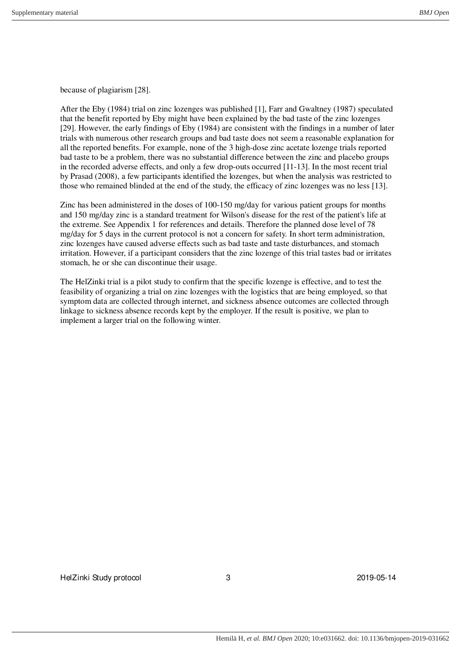because of plagiarism [28].

After the Eby (1984) trial on zinc lozenges was published [1], Farr and Gwaltney (1987) speculated that the benefit reported by Eby might have been explained by the bad taste of the zinc lozenges [29]. However, the early findings of Eby (1984) are consistent with the findings in a number of later trials with numerous other research groups and bad taste does not seem a reasonable explanation for all the reported benefits. For example, none of the 3 high-dose zinc acetate lozenge trials reported bad taste to be a problem, there was no substantial difference between the zinc and placebo groups in the recorded adverse effects, and only a few drop-outs occurred [11-13]. In the most recent trial by Prasad (2008), a few participants identified the lozenges, but when the analysis was restricted to those who remained blinded at the end of the study, the efficacy of zinc lozenges was no less [13].

Zinc has been administered in the doses of 100-150 mg/day for various patient groups for months and 150 mg/day zinc is a standard treatment for Wilson's disease for the rest of the patient's life at the extreme. See Appendix 1 for references and details. Therefore the planned dose level of 78 mg/day for 5 days in the current protocol is not a concern for safety. In short term administration, zinc lozenges have caused adverse effects such as bad taste and taste disturbances, and stomach irritation. However, if a participant considers that the zinc lozenge of this trial tastes bad or irritates stomach, he or she can discontinue their usage.

The HelZinki trial is a pilot study to confirm that the specific lozenge is effective, and to test the feasibility of organizing a trial on zinc lozenges with the logistics that are being employed, so that symptom data are collected through internet, and sickness absence outcomes are collected through linkage to sickness absence records kept by the employer. If the result is positive, we plan to implement a larger trial on the following winter.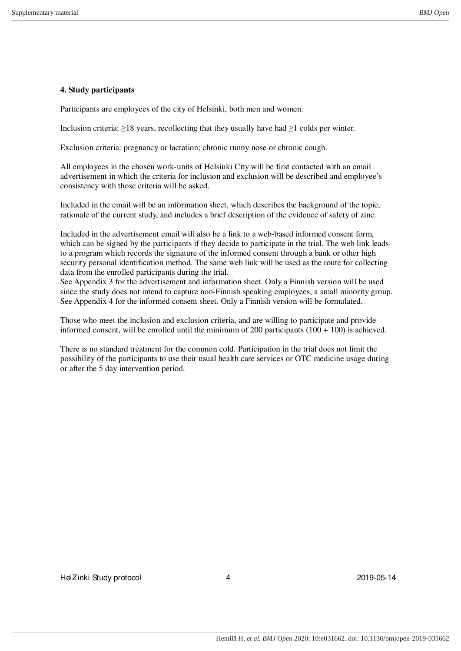# **4. Study participants**

Participants are employees of the city of Helsinki, both men and women.

Inclusion criteria:  $\geq$ 18 years, recollecting that they usually have had  $\geq$ 1 colds per winter.

Exclusion criteria: pregnancy or lactation; chronic runny nose or chronic cough.

All employees in the chosen work-units of Helsinki City will be first contacted with an email advertisement in which the criteria for inclusion and exclusion will be described and employee's consistency with those criteria will be asked.

Included in the email will be an information sheet, which describes the background of the topic, rationale of the current study, and includes a brief description of the evidence of safety of zinc.

Included in the advertisement email will also be a link to a web-based informed consent form, which can be signed by the participants if they decide to participate in the trial. The web link leads to a program which records the signature of the informed consent through a bank or other high security personal identification method. The same web link will be used as the route for collecting data from the enrolled participants during the trial.

See Appendix 3 for the advertisement and information sheet. Only a Finnish version will be used since the study does not intend to capture non-Finnish speaking employees, a small minority group. See Appendix 4 for the informed consent sheet. Only a Finnish version will be formulated.

Those who meet the inclusion and exclusion criteria, and are willing to participate and provide informed consent, will be enrolled until the minimum of 200 participants (100 + 100) is achieved.

There is no standard treatment for the common cold. Participation in the trial does not limit the possibility of the participants to use their usual health care services or OTC medicine usage during or after the 5 day intervention period.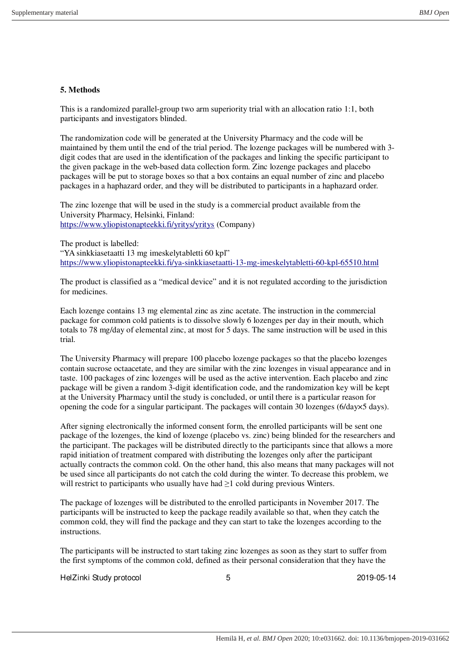# **5. Methods**

This is a randomized parallel-group two arm superiority trial with an allocation ratio 1:1, both participants and investigators blinded.

The randomization code will be generated at the University Pharmacy and the code will be maintained by them until the end of the trial period. The lozenge packages will be numbered with 3 digit codes that are used in the identification of the packages and linking the specific participant to the given package in the web-based data collection form. Zinc lozenge packages and placebo packages will be put to storage boxes so that a box contains an equal number of zinc and placebo packages in a haphazard order, and they will be distributed to participants in a haphazard order.

The zinc lozenge that will be used in the study is a commercial product available from the University Pharmacy, Helsinki, Finland: <https://www.yliopistonapteekki.fi/yritys/yritys>(Company)

The product is labelled: "YA sinkkiasetaatti 13 mg imeskelytabletti 60 kpl" <https://www.yliopistonapteekki.fi/ya-sinkkiasetaatti-13-mg-imeskelytabletti-60-kpl-65510.html>

The product is classified as a "medical device" and it is not regulated according to the jurisdiction for medicines.

Each lozenge contains 13 mg elemental zinc as zinc acetate. The instruction in the commercial package for common cold patients is to dissolve slowly 6 lozenges per day in their mouth, which totals to 78 mg/day of elemental zinc, at most for 5 days. The same instruction will be used in this trial.

The University Pharmacy will prepare 100 placebo lozenge packages so that the placebo lozenges contain sucrose octaacetate, and they are similar with the zinc lozenges in visual appearance and in taste. 100 packages of zinc lozenges will be used as the active intervention. Each placebo and zinc package will be given a random 3-digit identification code, and the randomization key will be kept at the University Pharmacy until the study is concluded, or until there is a particular reason for opening the code for a singular participant. The packages will contain 30 lozenges (6/day×5 days).

After signing electronically the informed consent form, the enrolled participants will be sent one package of the lozenges, the kind of lozenge (placebo vs. zinc) being blinded for the researchers and the participant. The packages will be distributed directly to the participants since that allows a more rapid initiation of treatment compared with distributing the lozenges only after the participant actually contracts the common cold. On the other hand, this also means that many packages will not be used since all participants do not catch the cold during the winter. To decrease this problem, we will restrict to participants who usually have had  $\geq 1$  cold during previous Winters.

The package of lozenges will be distributed to the enrolled participants in November 2017. The participants will be instructed to keep the package readily available so that, when they catch the common cold, they will find the package and they can start to take the lozenges according to the instructions.

The participants will be instructed to start taking zinc lozenges as soon as they start to suffer from the first symptoms of the common cold, defined as their personal consideration that they have the

HelZinki Study protocol and the study of the study of the study of the study of the study of the study of the study of the study of the study of the study of the study of the study of the study of the study of the study of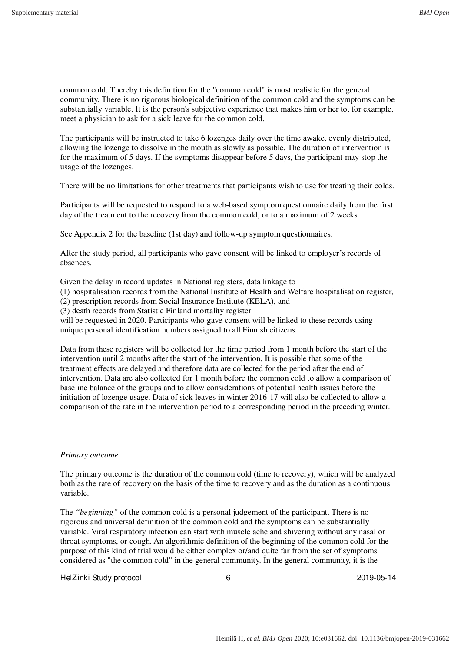common cold. Thereby this definition for the "common cold" is most realistic for the general community. There is no rigorous biological definition of the common cold and the symptoms can be substantially variable. It is the person's subjective experience that makes him or her to, for example, meet a physician to ask for a sick leave for the common cold.

The participants will be instructed to take 6 lozenges daily over the time awake, evenly distributed, allowing the lozenge to dissolve in the mouth as slowly as possible. The duration of intervention is for the maximum of 5 days. If the symptoms disappear before 5 days, the participant may stop the usage of the lozenges.

There will be no limitations for other treatments that participants wish to use for treating their colds.

Participants will be requested to respond to a web-based symptom questionnaire daily from the first day of the treatment to the recovery from the common cold, or to a maximum of 2 weeks.

See Appendix 2 for the baseline (1st day) and follow-up symptom questionnaires.

After the study period, all participants who gave consent will be linked to employer's records of absences.

Given the delay in record updates in National registers, data linkage to

(1) hospitalisation records from the National Institute of Health and Welfare hospitalisation register,

(2) prescription records from Social Insurance Institute (KELA), and

(3) death records from Statistic Finland mortality register

will be requested in 2020. Participants who gave consent will be linked to these records using unique personal identification numbers assigned to all Finnish citizens.

Data from these registers will be collected for the time period from 1 month before the start of the intervention until 2 months after the start of the intervention. It is possible that some of the treatment effects are delayed and therefore data are collected for the period after the end of intervention. Data are also collected for 1 month before the common cold to allow a comparison of baseline balance of the groups and to allow considerations of potential health issues before the initiation of lozenge usage. Data of sick leaves in winter 2016-17 will also be collected to allow a comparison of the rate in the intervention period to a corresponding period in the preceding winter.

#### *Primary outcome*

The primary outcome is the duration of the common cold (time to recovery), which will be analyzed both as the rate of recovery on the basis of the time to recovery and as the duration as a continuous variable.

The *"beginning"* of the common cold is a personal judgement of the participant. There is no rigorous and universal definition of the common cold and the symptoms can be substantially variable. Viral respiratory infection can start with muscle ache and shivering without any nasal or throat symptoms, or cough. An algorithmic definition of the beginning of the common cold for the purpose of this kind of trial would be either complex or/and quite far from the set of symptoms considered as "the common cold" in the general community. In the general community, it is the

HelZinki Study protocol and the control of the control of the 2019-05-14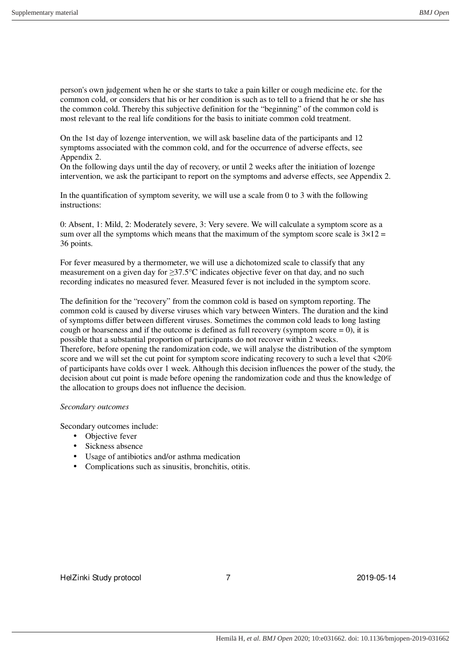person's own judgement when he or she starts to take a pain killer or cough medicine etc. for the common cold, or considers that his or her condition is such as to tell to a friend that he or she has the common cold. Thereby this subjective definition for the "beginning" of the common cold is most relevant to the real life conditions for the basis to initiate common cold treatment.

On the 1st day of lozenge intervention, we will ask baseline data of the participants and 12 symptoms associated with the common cold, and for the occurrence of adverse effects, see Appendix 2.

On the following days until the day of recovery, or until 2 weeks after the initiation of lozenge intervention, we ask the participant to report on the symptoms and adverse effects, see Appendix 2.

In the quantification of symptom severity, we will use a scale from 0 to 3 with the following instructions:

0: Absent, 1: Mild, 2: Moderately severe, 3: Very severe. We will calculate a symptom score as a sum over all the symptoms which means that the maximum of the symptom score scale is  $3\times12 =$ 36 points.

For fever measured by a thermometer, we will use a dichotomized scale to classify that any measurement on a given day for ≥37.5°C indicates objective fever on that day, and no such recording indicates no measured fever. Measured fever is not included in the symptom score.

The definition for the "recovery" from the common cold is based on symptom reporting. The common cold is caused by diverse viruses which vary between Winters. The duration and the kind of symptoms differ between different viruses. Sometimes the common cold leads to long lasting cough or hoarseness and if the outcome is defined as full recovery (symptom score  $= 0$ ), it is possible that a substantial proportion of participants do not recover within 2 weeks. Therefore, before opening the randomization code, we will analyse the distribution of the symptom score and we will set the cut point for symptom score indicating recovery to such a level that <20% of participants have colds over 1 week. Although this decision influences the power of the study, the decision about cut point is made before opening the randomization code and thus the knowledge of the allocation to groups does not influence the decision.

### *Secondary outcomes*

Secondary outcomes include:

- Objective fever
- Sickness absence
- Usage of antibiotics and/or asthma medication
- Complications such as sinusitis, bronchitis, otitis.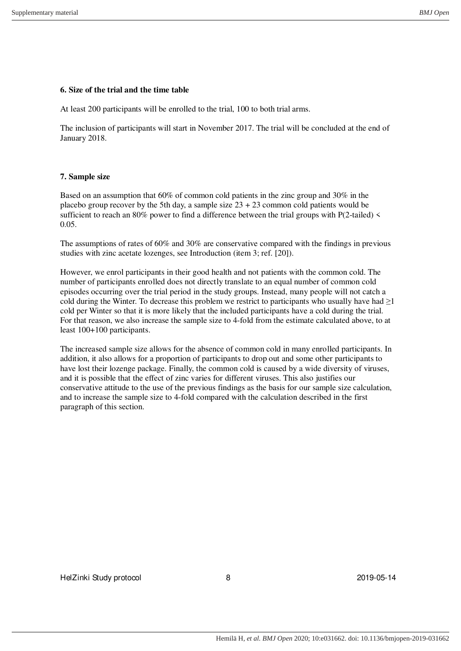### **6. Size of the trial and the time table**

At least 200 participants will be enrolled to the trial, 100 to both trial arms.

The inclusion of participants will start in November 2017. The trial will be concluded at the end of January 2018.

### **7. Sample size**

Based on an assumption that 60% of common cold patients in the zinc group and 30% in the placebo group recover by the 5th day, a sample size  $23 + 23$  common cold patients would be sufficient to reach an 80% power to find a difference between the trial groups with P(2-tailed) < 0.05.

The assumptions of rates of 60% and 30% are conservative compared with the findings in previous studies with zinc acetate lozenges, see Introduction (item 3; ref. [20]).

However, we enrol participants in their good health and not patients with the common cold. The number of participants enrolled does not directly translate to an equal number of common cold episodes occurring over the trial period in the study groups. Instead, many people will not catch a cold during the Winter. To decrease this problem we restrict to participants who usually have had  $\geq$ 1 cold per Winter so that it is more likely that the included participants have a cold during the trial. For that reason, we also increase the sample size to 4-fold from the estimate calculated above, to at least 100+100 participants.

The increased sample size allows for the absence of common cold in many enrolled participants. In addition, it also allows for a proportion of participants to drop out and some other participants to have lost their lozenge package. Finally, the common cold is caused by a wide diversity of viruses, and it is possible that the effect of zinc varies for different viruses. This also justifies our conservative attitude to the use of the previous findings as the basis for our sample size calculation, and to increase the sample size to 4-fold compared with the calculation described in the first paragraph of this section.

HelZinki Study protocol and a set of the 8 2019-05-14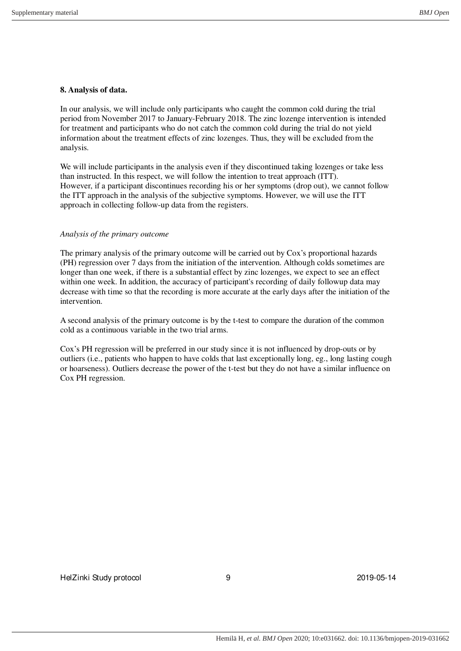# **8. Analysis of data.**

In our analysis, we will include only participants who caught the common cold during the trial period from November 2017 to January-February 2018. The zinc lozenge intervention is intended for treatment and participants who do not catch the common cold during the trial do not yield information about the treatment effects of zinc lozenges. Thus, they will be excluded from the analysis.

We will include participants in the analysis even if they discontinued taking lozenges or take less than instructed. In this respect, we will follow the intention to treat approach (ITT). However, if a participant discontinues recording his or her symptoms (drop out), we cannot follow the ITT approach in the analysis of the subjective symptoms. However, we will use the ITT approach in collecting follow-up data from the registers.

### *Analysis of the primary outcome*

The primary analysis of the primary outcome will be carried out by Cox's proportional hazards (PH) regression over 7 days from the initiation of the intervention. Although colds sometimes are longer than one week, if there is a substantial effect by zinc lozenges, we expect to see an effect within one week. In addition, the accuracy of participant's recording of daily followup data may decrease with time so that the recording is more accurate at the early days after the initiation of the intervention.

A second analysis of the primary outcome is by the t-test to compare the duration of the common cold as a continuous variable in the two trial arms.

Cox's PH regression will be preferred in our study since it is not influenced by drop-outs or by outliers (i.e., patients who happen to have colds that last exceptionally long, eg., long lasting cough or hoarseness). Outliers decrease the power of the t-test but they do not have a similar influence on Cox PH regression.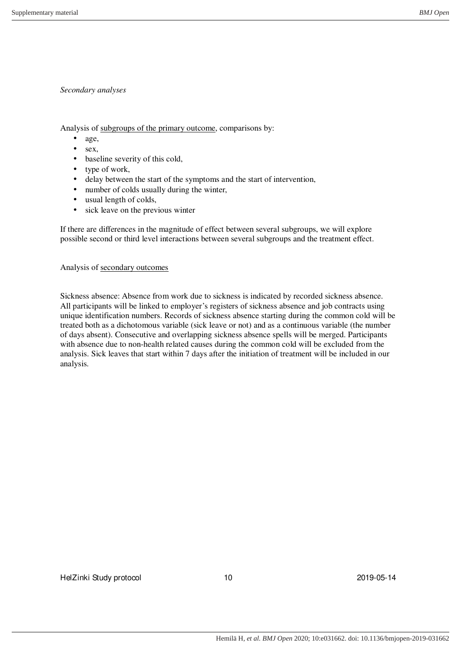# *Secondary analyses*

Analysis of subgroups of the primary outcome, comparisons by:

- age,
- $•$  sex,
- baseline severity of this cold,
- type of work,
- delay between the start of the symptoms and the start of intervention,
- number of colds usually during the winter,
- usual length of colds,
- sick leave on the previous winter

If there are differences in the magnitude of effect between several subgroups, we will explore possible second or third level interactions between several subgroups and the treatment effect.

Analysis of secondary outcomes

Sickness absence: Absence from work due to sickness is indicated by recorded sickness absence. All participants will be linked to employer's registers of sickness absence and job contracts using unique identification numbers. Records of sickness absence starting during the common cold will be treated both as a dichotomous variable (sick leave or not) and as a continuous variable (the number of days absent). Consecutive and overlapping sickness absence spells will be merged. Participants with absence due to non-health related causes during the common cold will be excluded from the analysis. Sick leaves that start within 7 days after the initiation of treatment will be included in our analysis.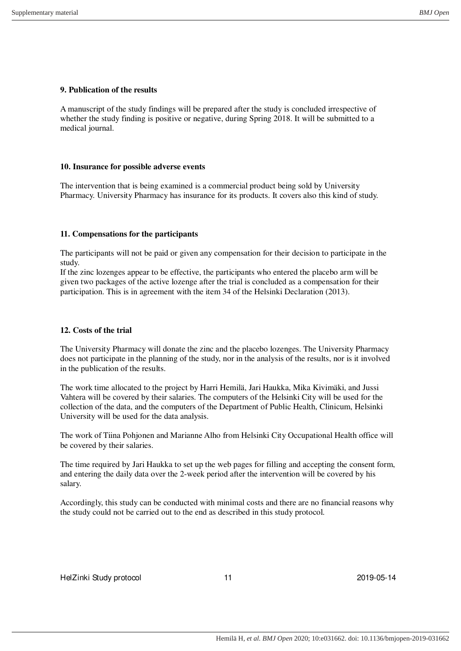## **9. Publication of the results**

A manuscript of the study findings will be prepared after the study is concluded irrespective of whether the study finding is positive or negative, during Spring 2018. It will be submitted to a medical journal.

### **10. Insurance for possible adverse events**

The intervention that is being examined is a commercial product being sold by University Pharmacy. University Pharmacy has insurance for its products. It covers also this kind of study.

## **11. Compensations for the participants**

The participants will not be paid or given any compensation for their decision to participate in the study.

If the zinc lozenges appear to be effective, the participants who entered the placebo arm will be given two packages of the active lozenge after the trial is concluded as a compensation for their participation. This is in agreement with the item 34 of the Helsinki Declaration (2013).

## **12. Costs of the trial**

The University Pharmacy will donate the zinc and the placebo lozenges. The University Pharmacy does not participate in the planning of the study, nor in the analysis of the results, nor is it involved in the publication of the results.

The work time allocated to the project by Harri Hemilä, Jari Haukka, Mika Kivimäki, and Jussi Vahtera will be covered by their salaries. The computers of the Helsinki City will be used for the collection of the data, and the computers of the Department of Public Health, Clinicum, Helsinki University will be used for the data analysis.

The work of Tiina Pohjonen and Marianne Alho from Helsinki City Occupational Health office will be covered by their salaries.

The time required by Jari Haukka to set up the web pages for filling and accepting the consent form, and entering the daily data over the 2-week period after the intervention will be covered by his salary.

Accordingly, this study can be conducted with minimal costs and there are no financial reasons why the study could not be carried out to the end as described in this study protocol.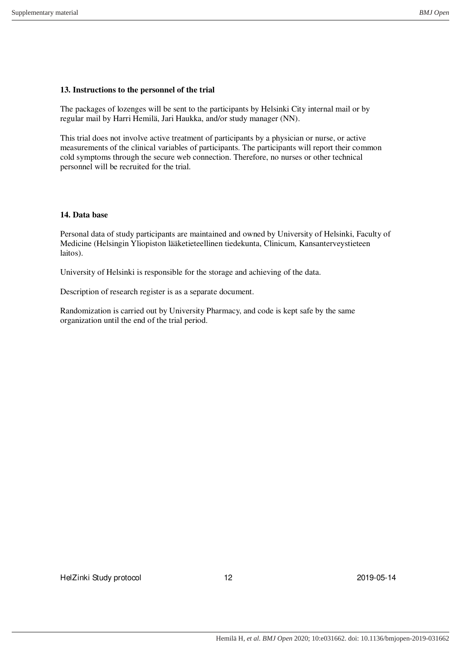## **13. Instructions to the personnel of the trial**

The packages of lozenges will be sent to the participants by Helsinki City internal mail or by regular mail by Harri Hemilä, Jari Haukka, and/or study manager (NN).

This trial does not involve active treatment of participants by a physician or nurse, or active measurements of the clinical variables of participants. The participants will report their common cold symptoms through the secure web connection. Therefore, no nurses or other technical personnel will be recruited for the trial.

### **14. Data base**

Personal data of study participants are maintained and owned by University of Helsinki, Faculty of Medicine (Helsingin Yliopiston lääketieteellinen tiedekunta, Clinicum, Kansanterveystieteen laitos).

University of Helsinki is responsible for the storage and achieving of the data.

Description of research register is as a separate document.

Randomization is carried out by University Pharmacy, and code is kept safe by the same organization until the end of the trial period.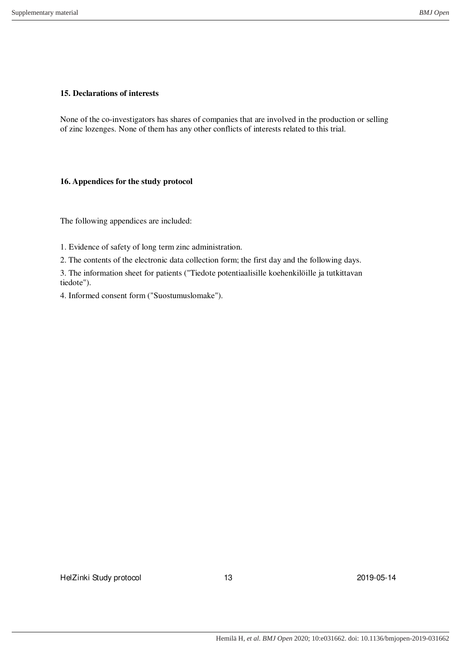# **15. Declarations of interests**

None of the co-investigators has shares of companies that are involved in the production or selling of zinc lozenges. None of them has any other conflicts of interests related to this trial.

# **16. Appendices for the study protocol**

The following appendices are included:

1. Evidence of safety of long term zinc administration.

2. The contents of the electronic data collection form; the first day and the following days.

3. The information sheet for patients ("Tiedote potentiaalisille koehenkilöille ja tutkittavan tiedote").

4. Informed consent form ("Suostumuslomake").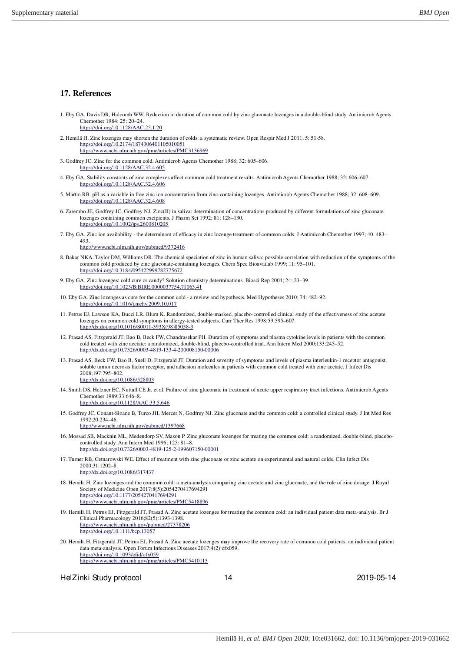#### **17. References**

- 1. Eby GA, Davis DR, Halcomb WW. Reduction in duration of common cold by zinc gluconate lozenges in a double-blind study. Antimicrob Agents Chemother 1984; 25: 20–24. <https://doi.org/10.1128/AAC.25.1.20>
- 2. Hemil[ä H. Zinc lozenges may shorten the duration of](https://doi.org/10.2174/1874306401105010051) colds: a systematic review. Open Respir Med J 2011; 5: 51-58. [https://doi.org/10.2174/1874306401105010051](https://www.ncbi.nlm.nih.gov/pmc/articles/PMC3136969) https://www.ncbi.nlm.nih.gov/pmc/articles/PMC3136969
- 3. Godfr[ey JC. Zinc for the common cold. Anti](https://doi.org/10.1128/AAC.32.4.605)microb Agents Chemother 1988; 32: 605–606. https://doi.org/10.1128/AAC.32.4.605
- 4. Eby G[A. Stability constants of zinc complex](https://doi.org/10.1128/AAC.32.4.606)es affect common cold treatment results. Antimicrob Agents Chemother 1988; 32: 606–607. https://doi.org/10.1128/AAC.32.4.606
- 5. Marti[n RB. pH as a variable in free zinc ion c](https://doi.org/10.1128/AAC.32.4.608)oncentration from zinc-containing lozenges. Antimicrob Agents Chemother 1988; 32: 608–609. https://doi.org/10.1128/AAC.32.4.608
- 6. Zarembo JE, Godfrey JC, Godfrey NJ. Zinc(II) in saliva: determination of concentrations produced by different formulations of zinc gluconate [lozenges containing common excipients](https://doi.org/10.1002/jps.2600810205). J Pharm Sci 1992; 81: 128–130. https://doi.org/10.1002/jps.2600810205
- 7. Eby GA. Zinc ion availability the determinant of efficacy in zinc lozenge treatment of common colds. J Antimicrob Chemother 1997; 40: 483– 493.

<http://www.ncbi.nlm.nih.gov/pubmed/9372416>

- 8. Bakar NKA, Taylor DM, Williams DR. The chemical speciation of zinc in human saliva: possible correlation with reduction of the symptoms of the [common cold produced by zinc gluconate-con](https://doi.org/10.3184/095422999782775672)taining lozenges. Chem Spec Bioavailab 1999; 11: 95–101. https://doi.org/10.3184/095422999782775672
- 9. Eby G[A. Zinc lozenges: cold cure or candy? Solution chemist](https://doi.org/10.1023/B:BIRE.0000037754.71063.41)ry determinations. Biosci Rep 2004; 24: 23–39. https://doi.org/10.1023/B:BIRE.0000037754.71063.41
- 10. Eby [GA. Zinc lozenges as cure for the common c](https://doi.org/10.1016/j.mehy.2009.10.017)old a review and hypothesis. Med Hypotheses 2010; 74: 482–92. https://doi.org/10.1016/j.mehy.2009.10.017
- 11. Petrus EJ, Lawson KA, Bucci LR, Blum K. Randomized, double-masked, placebo-controlled clinical study of the effectiveness of zinc acetate [lozenges on common cold symptoms in allergy-test](http://dx.doi.org/10.1016/S0011-393X(98)85058-3)ed subjects. Curr Ther Res 1998;59:595–607. http://dx.doi.org/10.1016/S0011-393X(98)85058-3
- 12. Prasad AS, Fitzgerald JT, Bao B, Beck FW, Chandrasekar PH. Duration of symptoms and plasma cytokine levels in patients with the common [cold treated with zinc acetate: a randomized, double-blind, plac](http://dx.doi.org/10.7326/0003-4819-133-4-200008150-00006)ebo-controlled trial. Ann Intern Med 2000;133:245–52. http://dx.doi.org/10.7326/0003-4819-133-4-200008150-00006
- 13. Prasad AS, Beck FW, Bao B, Snell D, Fitzgerald JT. Duration and severity of symptoms and levels of plasma interleukin-1 receptor antagonist, soluble tumor necrosis factor receptor, and adhesion molecules in patients with common cold treated with zinc acetate. J Infect Dis [2008;197:795–802.](http://dx.doi.org/10.1086/528803) http://dx.doi.org/10.1086/528803
- 14. Smith DS, Helzner EC, Nuttall CE Jr, et al. Failure of zinc gluconate in treatment of acute upper respiratory tract infections. Antimicrob Agents [Chemother 1989;33:646–8.](http://dx.doi.org/10.1128/AAC.33.5.646) http://dx.doi.org/10.1128/AAC.33.5.646
- 15. Godfrey JC, Conant-Sloane B, Turco JH, Mercer N, Godfrey NJ. Zinc gluconate and the common cold: a controlled clinical study. J Int Med Res 1992;20:234–46. <http://www.ncbi.nlm.nih.gov/pubmed/1397668>
- 16. Mossad SB, Macknin ML, Medendorp SV, Mason P. Zinc gluconate lozenges for treating the common cold: a randomized, double-blind, placebo[controlled study. Ann Intern Med 1996; 125: 81–8.](http://dx.doi.org/10.7326/0003-4819-125-2-199607150-00001) http://dx.doi.org/10.7326/0003-4819-125-2-199607150-00001
- 17. Turner RB, Cetnarowski WE. Effect of treatment with zinc gluconate or zinc acetate on experimental and natural colds. Clin Infect Dis [2000;31:1202–8.](http://dx.doi.org/10.1086/317437) http://dx.doi.org/10.1086/317437
- 18. Hemilä H. Zinc lozenges and the common cold: a meta-analysis comparing zinc acetate and zinc gluconate, and the role of zinc dosage. J Royal [Society of Medicine Open 2017;8\(5\):20542](https://doi.org/10.1177/2054270417694291)70417694291 [https://doi.org/10.1177/2054270417694291](https://www.ncbi.nlm.nih.gov/pmc/articles/PMC5418896) https://www.ncbi.nlm.nih.gov/pmc/articles/PMC5418896
- 19. Hemilä H, Petrus EJ, Fitzgerald JT, Prasad A. Zinc acetate lozenges for treating the common cold: an individual patient data meta-analysis. Br J [Clinical Pharmacology 2016;82\(5\):1393-1398.](https://www.ncbi.nlm.nih.gov/pubmed/27378206) [https://www.ncbi.nlm.nih.gov/pub](https://doi.org/10.1111/bcp.13057)med/27378206 https://doi.org/10.1111/bcp.13057
- 20. Hemilä H, Fitzgerald JT, Petrus EJ, Prasad A. Zinc acetate lozenges may improve the recovery rate of common cold patients: an individual patient [data meta-analysis. Open Forum Inf](https://doi.org/10.1093/ofid/ofx059)ectious Diseases 2017;4(2):ofx059. [https://doi.org/10.1093/ofid/ofx059](https://www.ncbi.nlm.nih.gov/pmc/articles/PMC5410113) https://www.ncbi.nlm.nih.gov/pmc/articles/PMC5410113

HelZinki Study protocol and the control of the 14 2019-05-14 2019-05-14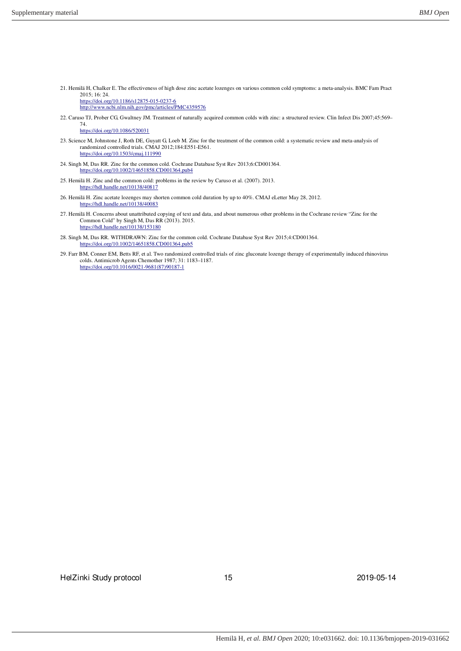21. Hemilä H, Chalker E. The effectiveness of high dose zinc acetate lozenges on various common cold symptoms: a meta-analysis. BMC Fam Pract 2015; 16: 24.

[https://doi.org/10.1186/s12875-015-0237-6](http://www.ncbi.nlm.nih.gov/pmc/articles/PMC4359576) http://www.ncbi.nlm.nih.gov/pmc/articles/PMC4359576

22. Caruso TJ, Prober CG, Gwaltney JM. Treatment of naturally acquired common colds with zinc: a structured review. Clin Infect Dis 2007;45:569– 74.

<https://doi.org/10.1086/520031>

- 23. Science M, Johnstone J, Roth DE, Guyatt G, Loeb M. Zinc for the treatment of the common cold: a systematic review and meta-analysis of [randomized controlled trials. CMAJ](https://doi.org/10.1503/cmaj.111990) 2012;184:E551-E561. https://doi.org/10.1503/cmaj.111990
- 24. Sing[h M, Das RR. Zinc for the common cold. Cochrane](https://doi.org/10.1002/14651858.CD001364.pub4) Database Syst Rev 2013;6:CD001364. https://doi.org/10.1002/14651858.CD001364.pub4
- 25. Hem[ilä H. Zinc and the common cold: p](https://hdl.handle.net/10138/40817)roblems in the review by Caruso et al. (2007). 2013. https://hdl.handle.net/10138/40817
- 26. Hem[ilä H. Zinc acetate lozenges may sh](https://hdl.handle.net/10138/40083)orten common cold duration by up to 40%. CMAJ eLetter May 28, 2012. https://hdl.handle.net/10138/40083
- 27. Hemilä H. Concerns about unattributed copying of text and data, and about numerous other problems in the Cochrane review "Zinc for the [Common Cold" by Singh M, Das RR](https://hdl.handle.net/10138/153180) (2013). 2015. https://hdl.handle.net/10138/153180
- 28. Sing[h M, Das RR. WITHDRAWN: Zinc for the common](https://doi.org/10.1002/14651858.CD001364.pub5) cold. Cochrane Database Syst Rev 2015;4:CD001364. https://doi.org/10.1002/14651858.CD001364.pub5
- 29. Farr BM, Conner EM, Betts RF, et al. Two randomized controlled trials of zinc gluconate lozenge therapy of experimentally induced rhinovirus [colds. Antimicrob Agents Chemother 1987; 31:](https://doi.org/10.1016/0021-9681(87)90187-1) 1183–1187. https://doi.org/10.1016/0021-9681(87)90187-1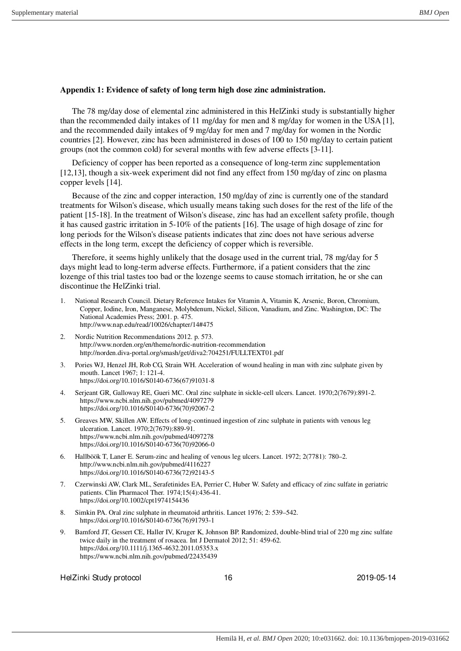#### **Appendix 1: Evidence of safety of long term high dose zinc administration.**

The 78 mg/day dose of elemental zinc administered in this HelZinki study is substantially higher than the recommended daily intakes of 11 mg/day for men and 8 mg/day for women in the USA [1], and the recommended daily intakes of 9 mg/day for men and 7 mg/day for women in the Nordic countries [2]. However, zinc has been administered in doses of 100 to 150 mg/day to certain patient groups (not the common cold) for several months with few adverse effects [3-11].

Deficiency of copper has been reported as a consequence of long-term zinc supplementation [12,13], though a six-week experiment did not find any effect from 150 mg/day of zinc on plasma copper levels [14].

Because of the zinc and copper interaction, 150 mg/day of zinc is currently one of the standard treatments for Wilson's disease, which usually means taking such doses for the rest of the life of the patient [15-18]. In the treatment of Wilson's disease, zinc has had an excellent safety profile, though it has caused gastric irritation in 5-10% of the patients [16]. The usage of high dosage of zinc for long periods for the Wilson's disease patients indicates that zinc does not have serious adverse effects in the long term, except the deficiency of copper which is reversible.

Therefore, it seems highly unlikely that the dosage used in the current trial, 78 mg/day for 5 days might lead to long-term adverse effects. Furthermore, if a patient considers that the zinc lozenge of this trial tastes too bad or the lozenge seems to cause stomach irritation, he or she can discontinue the HelZinki trial.

- 1. National Research Council. Dietary Reference Intakes for Vitamin A, Vitamin K, Arsenic, Boron, Chromium, Copper, Iodine, Iron, Manganese, Molybdenum, Nickel, Silicon, Vanadium, and Zinc. Washington, DC: The National Academies Press; 2001. p. 475. http://www.nap.edu/read/10026/chapter/14#475
- 2. Nordic Nutrition Recommendations 2012. p. 573. http://www.norden.org/en/theme/nordic-nutrition-recommendation http://norden.diva-portal.org/smash/get/diva2:704251/FULLTEXT01.pdf
- 3. Pories WJ, Henzel JH, Rob CG, Strain WH. Acceleration of wound healing in man with zinc sulphate given by mouth. Lancet 1967; 1: 121-4. https://doi.org/10.1016/S0140-6736(67)91031-8
- 4. Serjeant GR, Galloway RE, Gueri MC. Oral zinc sulphate in sickle-cell ulcers. Lancet. 1970;2(7679):891-2. https://www.ncbi.nlm.nih.gov/pubmed/4097279 https://doi.org/10.1016/S0140-6736(70)92067-2
- 5. Greaves MW, Skillen AW. Effects of long-continued ingestion of zinc sulphate in patients with venous leg ulceration. Lancet. 1970;2(7679):889-91. https://www.ncbi.nlm.nih.gov/pubmed/4097278 https://doi.org/10.1016/S0140-6736(70)92066-0
- 6. Hallböök T, Laner E. Serum-zinc and healing of venous leg ulcers. Lancet. 1972; 2(7781): 780–2. http://www.ncbi.nlm.nih.gov/pubmed/4116227 https://doi.org/10.1016/S0140-6736(72)92143-5
- 7. Czerwinski AW, Clark ML, Serafetinides EA, Perrier C, Huber W. Safety and efficacy of zinc sulfate in geriatric patients. Clin Pharmacol Ther. 1974;15(4):436-41. https://doi.org/10.1002/cpt1974154436
- 8. Simkin PA. Oral zinc sulphate in rheumatoid arthritis. Lancet 1976; 2: 539–542. https://doi.org/10.1016/S0140-6736(76)91793-1
- 9. Bamford JT, Gessert CE, Haller IV, Kruger K, Johnson BP. Randomized, double-blind trial of 220 mg zinc sulfate twice daily in the treatment of rosacea. Int J Dermatol 2012; 51: 459-62. https://doi.org/10.1111/j.1365-4632.2011.05353.x https://www.ncbi.nlm.nih.gov/pubmed/22435439

HelZinki Study protocol and the control of the 16 2019-05-14 2019-05-14 2019-05-14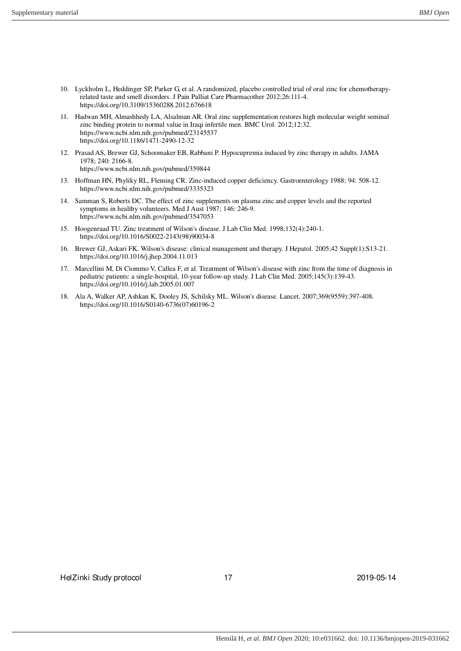- 10. Lyckholm L, Heddinger SP, Parker G, et al. A randomized, placebo controlled trial of oral zinc for chemotherapyrelated taste and smell disorders. J Pain Palliat Care Pharmacother 2012;26:111-4. https://doi.org/10.3109/15360288.2012.676618
- 11. Hadwan MH, Almashhedy LA, Alsalman AR. Oral zinc supplementation restores high molecular weight seminal zinc binding protein to normal value in Iraqi infertile men. BMC Urol. 2012;12:32. https://www.ncbi.nlm.nih.gov/pubmed/23145537 https://doi.org/10.1186/1471-2490-12-32
- 12. Prasad AS, Brewer GJ, Schoomaker EB, Rabbani P. Hypocupremia induced by zinc therapy in adults. JAMA 1978; 240: 2166-8. https://www.ncbi.nlm.nih.gov/pubmed/359844
- 13. Hoffman HN, Phyliky RL, Fleming CR. Zinc-induced copper deficiency. Gastroenterology 1988; 94: 508-12. https://www.ncbi.nlm.nih.gov/pubmed/3335323
- 14. Samman S, Roberts DC. The effect of zinc supplements on plasma zinc and copper levels and the reported symptoms in healthy volunteers. Med J Aust 1987; 146: 246-9. https://www.ncbi.nlm.nih.gov/pubmed/3547053
- 15. Hoogenraad TU. Zinc treatment of Wilson's disease. J Lab Clin Med. 1998;132(4):240-1. https://doi.org/10.1016/S0022-2143(98)90034-8
- 16. Brewer GJ, Askari FK. Wilson's disease: clinical management and therapy. J Hepatol. 2005;42 Suppl(1):S13-21. https://doi.org/10.1016/j.jhep.2004.11.013
- 17. Marcellini M, Di Ciommo V, Callea F, et al. Treatment of Wilson's disease with zinc from the time of diagnosis in pediatric patients: a single-hospital, 10-year follow-up study. J Lab Clin Med. 2005;145(3):139-43. https://doi.org/10.1016/j.lab.2005.01.007
- 18. Ala A, Walker AP, Ashkan K, Dooley JS, Schilsky ML. Wilson's disease. Lancet. 2007;369(9559):397-408. https://doi.org/10.1016/S0140-6736(07)60196-2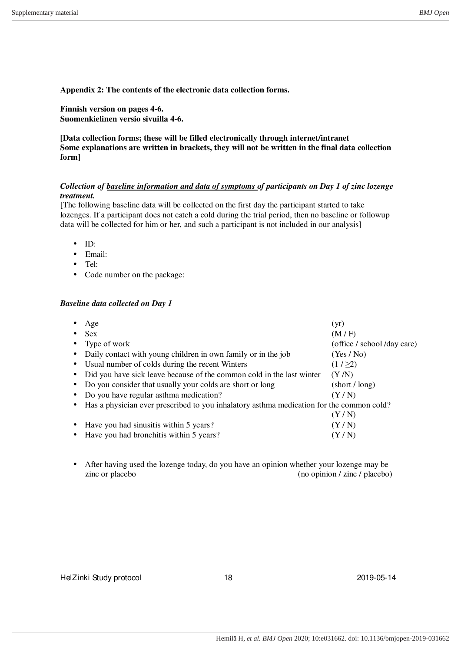**Appendix 2: The contents of the electronic data collection forms.**

**Finnish version on pages 4-6. Suomenkielinen versio sivuilla 4-6.**

**[Data collection forms; these will be filled electronically through internet/intranet Some explanations are written in brackets, they will not be written in the final data collection form]**

# *Collection of baseline information and data of symptoms of participants on Day 1 of zinc lozenge treatment.*

[The following baseline data will be collected on the first day the participant started to take lozenges. If a participant does not catch a cold during the trial period, then no baseline or followup data will be collected for him or her, and such a participant is not included in our analysis]

- ID:
- Email:
- Tel:
- Code number on the package:

# *Baseline data collected on Day 1*

|           | Age                                                                                      | (yr)                         |  |
|-----------|------------------------------------------------------------------------------------------|------------------------------|--|
|           | <b>Sex</b>                                                                               | (M/F)                        |  |
| $\bullet$ | Type of work                                                                             | (office / school /day care)  |  |
| $\bullet$ | Daily contact with young children in own family or in the job                            | (Yes/No)                     |  |
| $\bullet$ | Usual number of colds during the recent Winters                                          | (1/22)                       |  |
| $\bullet$ | Did you have sick leave because of the common cold in the last winter                    | (Y/N)                        |  |
|           | Do you consider that usually your colds are short or long                                | $(\text{short}/\text{long})$ |  |
| $\bullet$ | Do you have regular asthma medication?                                                   | (Y/N)                        |  |
|           | Has a physician ever prescribed to you inhalatory asthma medication for the common cold? |                              |  |
|           |                                                                                          | (Y/N)                        |  |
| $\bullet$ | Have you had sinusitis within 5 years?                                                   | (Y/N)                        |  |
|           | Have you had bronchitis within 5 years?                                                  | (Y/N)                        |  |
|           |                                                                                          |                              |  |

• After having used the lozenge today, do you have an opinion whether your lozenge may be zinc or placebo (no opinion / zinc / placebo)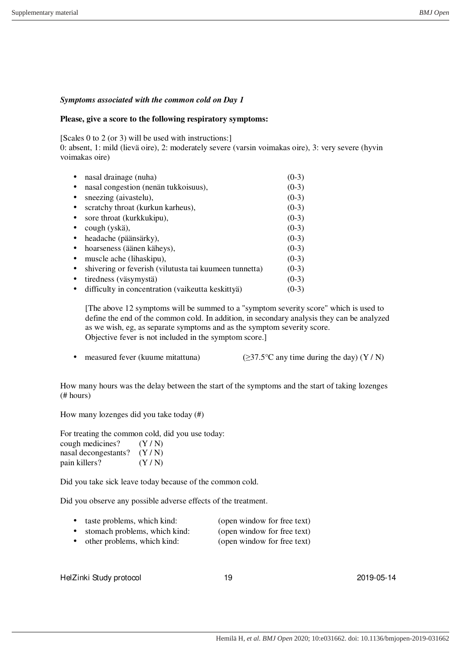### *Symptoms associated with the common cold on Day 1*

#### **Please, give a score to the following respiratory symptoms:**

[Scales 0 to 2 (or 3) will be used with instructions:]

0: absent, 1: mild (lievä oire), 2: moderately severe (varsin voimakas oire), 3: very severe (hyvin voimakas oire)

| nasal drainage (nuha)                                  | $(0-3)$ |
|--------------------------------------------------------|---------|
| nasal congestion (nenän tukkoisuus),                   | $(0-3)$ |
| sneezing (aivastelu),                                  | $(0-3)$ |
| scratchy throat (kurkun karheus),                      | $(0-3)$ |
| sore throat (kurkkukipu),                              | $(0-3)$ |
| cough (yskä),                                          | $(0-3)$ |
| headache (päänsärky),                                  | $(0-3)$ |
| hoarseness (äänen käheys),                             | $(0-3)$ |
| muscle ache (lihaskipu),                               | $(0-3)$ |
| shivering or feverish (vilutusta tai kuumeen tunnetta) | $(0-3)$ |
| tiredness (väsymystä)                                  | $(0-3)$ |
| difficulty in concentration (vaikeutta keskittyä)      | $(0-3)$ |

[The above 12 symptoms will be summed to a "symptom severity score" which is used to define the end of the common cold. In addition, in secondary analysis they can be analyzed as we wish, eg, as separate symptoms and as the symptom severity score. Objective fever is not included in the symptom score.]

• measured fever (kuume mitattuna) ( $\geq 37.5^{\circ}$ C any time during the day) (Y / N)

How many hours was the delay between the start of the symptoms and the start of taking lozenges (# hours)

How many lozenges did you take today (#)

For treating the common cold, did you use today:

| cough medicines?     | (Y/N) |
|----------------------|-------|
| nasal decongestants? | (Y/N) |
| pain killers?        | (Y/N) |

Did you take sick leave today because of the common cold.

Did you observe any possible adverse effects of the treatment.

- taste problems, which kind: (open window for free text)
- stomach problems, which kind: (open window for free text)
- other problems, which kind: (open window for free text)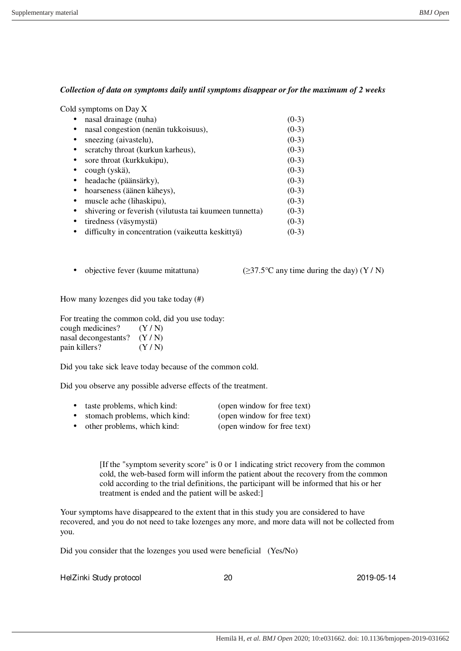# *Collection of data on symptoms daily until symptoms disappear or for the maximum of 2 weeks*

| Cold symptoms on Day X                                              |         |
|---------------------------------------------------------------------|---------|
| nasal drainage (nuha)                                               | $(0-3)$ |
| nasal congestion (nenän tukkoisuus),<br>٠                           | $(0-3)$ |
| sneezing (aivastelu),<br>٠                                          | $(0-3)$ |
| scratchy throat (kurkun karheus),<br>$\bullet$                      | $(0-3)$ |
| sore throat (kurkkukipu),<br>٠                                      | $(0-3)$ |
| cough (yskä),<br>٠                                                  | $(0-3)$ |
| headache (päänsärky),<br>$\bullet$                                  | $(0-3)$ |
| hoarseness (äänen käheys),<br>٠                                     | $(0-3)$ |
| muscle ache (lihaskipu),<br>$\bullet$                               | $(0-3)$ |
| shivering or feverish (vilutusta tai kuumeen tunnetta)<br>$\bullet$ | $(0-3)$ |
| tiredness (väsymystä)<br>٠                                          | $(0-3)$ |
| difficulty in concentration (vaikeutta keskittyä)                   | $(0-3)$ |

• objective fever (kuume mitattuna) ( $\geq 37.5^{\circ}$ C any time during the day) (Y / N)

How many lozenges did you take today (#)

For treating the common cold, did you use today: cough medicines?  $(Y / N)$ nasal decongestants? (Y / N) pain killers? (Y / N)

Did you take sick leave today because of the common cold.

Did you observe any possible adverse effects of the treatment.

| taste problems, which kind: | (open window for free text) |
|-----------------------------|-----------------------------|
|                             |                             |

- stomach problems, which kind: (open window for free text)
- other problems, which kind: (open window for free text)

[If the "symptom severity score" is 0 or 1 indicating strict recovery from the common cold, the web-based form will inform the patient about the recovery from the common cold according to the trial definitions, the participant will be informed that his or her treatment is ended and the patient will be asked:]

Your symptoms have disappeared to the extent that in this study you are considered to have recovered, and you do not need to take lozenges any more, and more data will not be collected from you.

Did you consider that the lozenges you used were beneficial (Yes/No)

HelZinki Study protocol 20 20 2019-05-14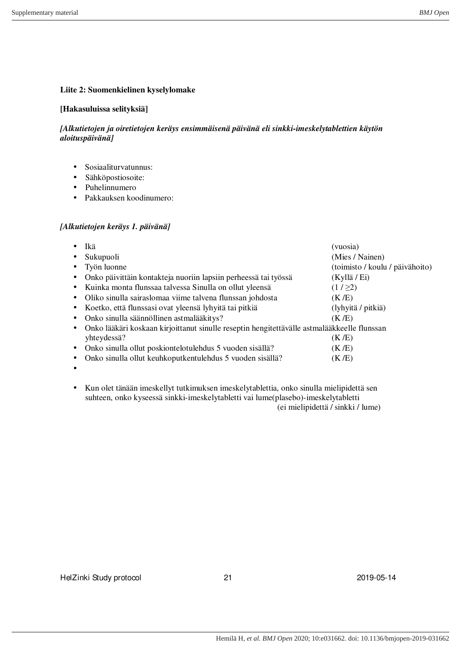# **Liite 2: Suomenkielinen kyselylomake**

## **[Hakasuluissa selityksiä]**

# *[Alkutietojen ja oiretietojen keräys ensimmäisenä päivänä eli sinkki-imeskelytablettien käytön aloituspäivänä]*

- Sosiaaliturvatunnus:
- Sähköpostiosoite:
- Puhelinnumero
- Pakkauksen koodinumero:

# *[Alkutietojen keräys 1. päivänä]*

| Ikä         |                                                                                             | (vuosia)                        |
|-------------|---------------------------------------------------------------------------------------------|---------------------------------|
| Sukupuoli   |                                                                                             | (Mies / Nainen)                 |
| Työn luonne |                                                                                             | (toimisto / koulu / päivähoito) |
|             | Onko päivittäin kontakteja nuoriin lapsiin perheessä tai työssä                             | (Kyllä / Ei)                    |
| $\bullet$   | Kuinka monta flunssaa talvessa Sinulla on ollut yleensä                                     | (1/22)                          |
| $\bullet$   | Oliko sinulla sairaslomaa viime talvena flunssan johdosta                                   | (K/E)                           |
|             | Koetko, että flunssasi ovat yleensä lyhyitä tai pitkiä                                      | (lyhyitä / pitkiä)              |
|             | Onko sinulla säännöllinen astmalääkitys?                                                    | (K/E)                           |
|             | Onko lääkäri koskaan kirjoittanut sinulle reseptin hengitettävälle astmalääkkeelle flunssan |                                 |
| yhteydessä? |                                                                                             | (K/E)                           |
|             | Onko sinulla ollut poskiontelotulehdus 5 vuoden sisällä?                                    | (K/E)                           |
|             | Onko sinulla ollut keuhkoputkentulehdus 5 vuoden sisällä?                                   | (K /E)                          |
|             |                                                                                             |                                 |

• Kun olet tänään imeskellyt tutkimuksen imeskelytablettia, onko sinulla mielipidettä sen suhteen, onko kyseessä sinkki-imeskelytabletti vai lume(plasebo)-imeskelytabletti (ei mielipidettä / sinkki / lume)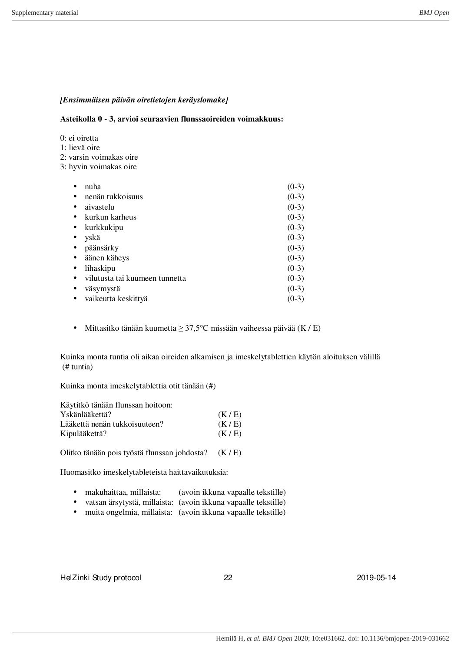# *[Ensimmäisen päivän oiretietojen keräyslomake]*

**Asteikolla 0 - 3, arvioi seuraavien flunssaoireiden voimakkuus:**

0: ei oiretta

1: lievä oire

2: varsin voimakas oire

3: hyvin voimakas oire

| nuha                           | $(0-3)$ |
|--------------------------------|---------|
| nenän tukkoisuus               | $(0-3)$ |
| aivastelu                      | $(0-3)$ |
| kurkun karheus                 | $(0-3)$ |
| kurkkukipu                     | $(0-3)$ |
| yskä                           | $(0-3)$ |
| päänsärky                      | $(0-3)$ |
| äänen käheys                   | $(0-3)$ |
| lihaskipu                      | $(0-3)$ |
| vilutusta tai kuumeen tunnetta | $(0-3)$ |
| väsymystä                      | $(0-3)$ |
| vaikeutta keskittyä            | $(0-3)$ |

• Mittasitko tänään kuumetta  $\geq 37.5^{\circ}$ C missään vaiheessa päivää (K / E)

Kuinka monta tuntia oli aikaa oireiden alkamisen ja imeskelytablettien käytön aloituksen välillä (# tuntia)

Kuinka monta imeskelytablettia otit tänään (#)

| Käytitkö tänään flunssan hoitoon: |       |
|-----------------------------------|-------|
| Yskänlääkettä?                    | (K/E) |
| Lääkettä nenän tukkoisuuteen?     | (K/E) |
| Kipulääkettä?                     | (K/E) |

Olitko tänään pois työstä flunssan johdosta? (K / E)

Huomasitko imeskelytableteista haittavaikutuksia:

- makuhaittaa, millaista: (avoin ikkuna vapaalle tekstille)
- vatsan ärsytystä, millaista: (avoin ikkuna vapaalle tekstille)
- muita ongelmia, millaista: (avoin ikkuna vapaalle tekstille)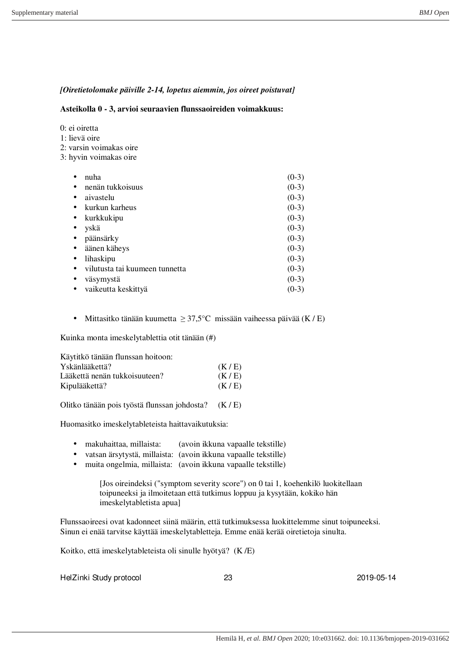# *[Oiretietolomake päiville 2-14, lopetus aiemmin, jos oireet poistuvat]*

#### **Asteikolla 0 - 3, arvioi seuraavien flunssaoireiden voimakkuus:**

|  | 0: ei oiretta |
|--|---------------|
|  |               |

- 1: lievä oire
- 2: varsin voimakas oire
- 3: hyvin voimakas oire

| nuha                             | $(0-3)$ |
|----------------------------------|---------|
| nenän tukkoisuus                 | $(0-3)$ |
| aivastelu                        | $(0-3)$ |
| kurkun karheus                   | $(0-3)$ |
| kurkkukipu                       | $(0-3)$ |
| yskä                             | $(0-3)$ |
| päänsärky                        | $(0-3)$ |
| äänen käheys<br>$\bullet$        | $(0-3)$ |
| lihaskipu                        | $(0-3)$ |
| vilutusta tai kuumeen tunnetta   | $(0-3)$ |
| väsymystä                        | $(0-3)$ |
| vaikeutta keskittyä<br>$\bullet$ | $(0-3)$ |

• Mittasitko tänään kuumetta  $\geq 37.5^{\circ}$ C missään vaiheessa päivää (K / E)

Kuinka monta imeskelytablettia otit tänään (#)

| Käytitkö tänään flunssan hoitoon: |       |
|-----------------------------------|-------|
| Yskänlääkettä?                    | (K/E) |
| Lääkettä nenän tukkoisuuteen?     | (K/E) |
| Kipulääkettä?                     | (K/E) |
|                                   |       |

Olitko tänään pois työstä flunssan johdosta? (K / E)

Huomasitko imeskelytableteista haittavaikutuksia:

- makuhaittaa, millaista: (avoin ikkuna vapaalle tekstille)
- vatsan ärsytystä, millaista: (avoin ikkuna vapaalle tekstille)
- muita ongelmia, millaista: (avoin ikkuna vapaalle tekstille)

[Jos oireindeksi ("symptom severity score") on 0 tai 1, koehenkilö luokitellaan toipuneeksi ja ilmoitetaan että tutkimus loppuu ja kysytään, kokiko hän imeskelytabletista apua]

Flunssaoireesi ovat kadonneet siinä määrin, että tutkimuksessa luokittelemme sinut toipuneeksi. Sinun ei enää tarvitse käyttää imeskelytabletteja. Emme enää kerää oiretietoja sinulta.

Koitko, että imeskelytableteista oli sinulle hyötyä? (K /E)

HelZinki Study protocol 23 2019-05-14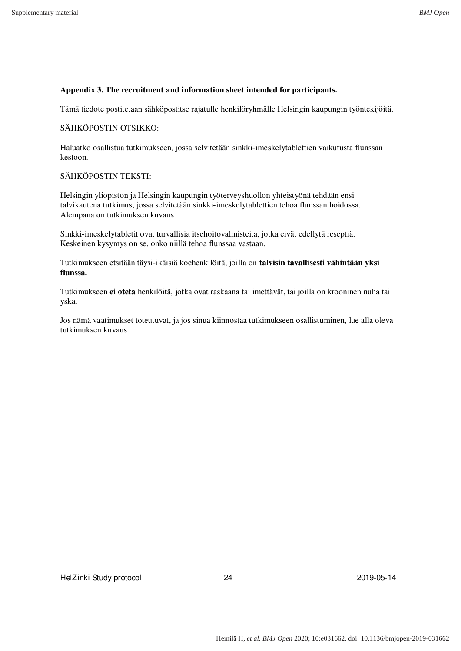## **Appendix 3. The recruitment and information sheet intended for participants.**

Tämä tiedote postitetaan sähköpostitse rajatulle henkilöryhmälle Helsingin kaupungin työntekijöitä.

### SÄHKÖPOSTIN OTSIKKO:

Haluatko osallistua tutkimukseen, jossa selvitetään sinkki-imeskelytablettien vaikutusta flunssan kestoon.

### SÄHKÖPOSTIN TEKSTI:

Helsingin yliopiston ja Helsingin kaupungin työterveyshuollon yhteistyönä tehdään ensi talvikautena tutkimus, jossa selvitetään sinkki-imeskelytablettien tehoa flunssan hoidossa. Alempana on tutkimuksen kuvaus.

Sinkki-imeskelytabletit ovat turvallisia itsehoitovalmisteita, jotka eivät edellytä reseptiä. Keskeinen kysymys on se, onko niillä tehoa flunssaa vastaan.

Tutkimukseen etsitään täysi-ikäisiä koehenkilöitä, joilla on **talvisin tavallisesti vähintään yksi flunssa.**

Tutkimukseen **ei oteta** henkilöitä, jotka ovat raskaana tai imettävät, tai joilla on krooninen nuha tai yskä.

Jos nämä vaatimukset toteutuvat, ja jos sinua kiinnostaa tutkimukseen osallistuminen, lue alla oleva tutkimuksen kuvaus.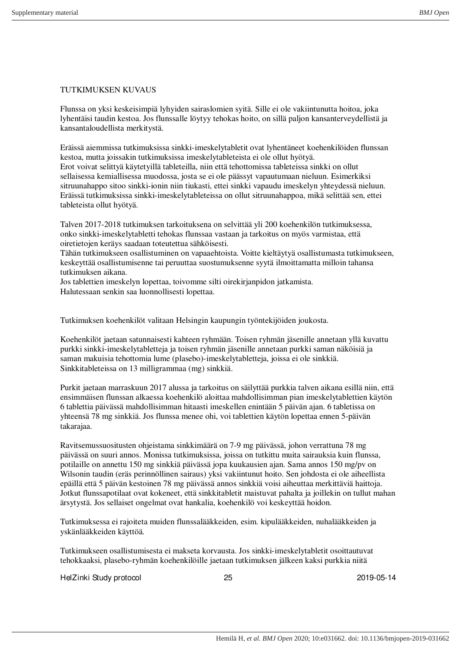## TUTKIMUKSEN KUVAUS

Flunssa on yksi keskeisimpiä lyhyiden sairaslomien syitä. Sille ei ole vakiintunutta hoitoa, joka lyhentäisi taudin kestoa. Jos flunssalle löytyy tehokas hoito, on sillä paljon kansanterveydellistä ja kansantaloudellista merkitystä.

Eräissä aiemmissa tutkimuksissa sinkki-imeskelytabletit ovat lyhentäneet koehenkilöiden flunssan kestoa, mutta joissakin tutkimuksissa imeskelytableteista ei ole ollut hyötyä. Erot voivat selittyä käytetyillä tableteilla, niin että tehottomissa tableteissa sinkki on ollut sellaisessa kemiallisessa muodossa, josta se ei ole päässyt vapautumaan nieluun. Esimerkiksi sitruunahappo sitoo sinkki-ionin niin tiukasti, ettei sinkki vapaudu imeskelyn yhteydessä nieluun. Eräissä tutkimuksissa sinkki-imeskelytableteissa on ollut sitruunahappoa, mikä selittää sen, ettei tableteista ollut hyötyä.

Talven 2017-2018 tutkimuksen tarkoituksena on selvittää yli 200 koehenkilön tutkimuksessa, onko sinkki-imeskelytabletti tehokas flunssaa vastaan ja tarkoitus on myös varmistaa, että oiretietojen keräys saadaan toteutettua sähköisesti.

Tähän tutkimukseen osallistuminen on vapaaehtoista. Voitte kieltäytyä osallistumasta tutkimukseen, keskeyttää osallistumisenne tai peruuttaa suostumuksenne syytä ilmoittamatta milloin tahansa tutkimuksen aikana.

Jos tablettien imeskelyn lopettaa, toivomme silti oirekirjanpidon jatkamista. Halutessaan senkin saa luonnollisesti lopettaa.

Tutkimuksen koehenkilöt valitaan Helsingin kaupungin työntekijöiden joukosta.

Koehenkilöt jaetaan satunnaisesti kahteen ryhmään. Toisen ryhmän jäsenille annetaan yllä kuvattu purkki sinkki-imeskelytabletteja ja toisen ryhmän jäsenille annetaan purkki saman näköisiä ja saman makuisia tehottomia lume (plasebo)-imeskelytabletteja, joissa ei ole sinkkiä. Sinkkitableteissa on 13 milligrammaa (mg) sinkkiä.

Purkit jaetaan marraskuun 2017 alussa ja tarkoitus on säilyttää purkkia talven aikana esillä niin, että ensimmäisen flunssan alkaessa koehenkilö aloittaa mahdollisimman pian imeskelytablettien käytön 6 tablettia päivässä mahdollisimman hitaasti imeskellen enintään 5 päivän ajan. 6 tabletissa on yhteensä 78 mg sinkkiä. Jos flunssa menee ohi, voi tablettien käytön lopettaa ennen 5-päivän takarajaa.

Ravitsemussuositusten ohjeistama sinkkimäärä on 7-9 mg päivässä, johon verrattuna 78 mg päivässä on suuri annos. Monissa tutkimuksissa, joissa on tutkittu muita sairauksia kuin flunssa, potilaille on annettu 150 mg sinkkiä päivässä jopa kuukausien ajan. Sama annos 150 mg/pv on Wilsonin taudin (eräs perinnöllinen sairaus) yksi vakiintunut hoito. Sen johdosta ei ole aiheellista epäillä että 5 päivän kestoinen 78 mg päivässä annos sinkkiä voisi aiheuttaa merkittäviä haittoja. Jotkut flunssapotilaat ovat kokeneet, että sinkkitabletit maistuvat pahalta ja joillekin on tullut mahan ärsytystä. Jos sellaiset ongelmat ovat hankalia, koehenkilö voi keskeyttää hoidon.

Tutkimuksessa ei rajoiteta muiden flunssalääkkeiden, esim. kipulääkkeiden, nuhalääkkeiden ja yskänlääkkeiden käyttöä.

Tutkimukseen osallistumisesta ei makseta korvausta. Jos sinkki-imeskelytabletit osoittautuvat tehokkaaksi, plasebo-ryhmän koehenkilöille jaetaan tutkimuksen jälkeen kaksi purkkia niitä

HelZinki Study protocol 25 2019-05-14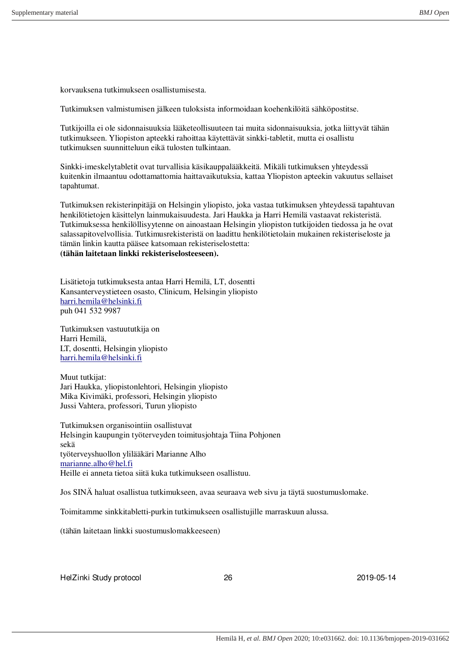korvauksena tutkimukseen osallistumisesta.

Tutkimuksen valmistumisen jälkeen tuloksista informoidaan koehenkilöitä sähköpostitse.

Tutkijoilla ei ole sidonnaisuuksia lääketeollisuuteen tai muita sidonnaisuuksia, jotka liittyvät tähän tutkimukseen. Yliopiston apteekki rahoittaa käytettävät sinkki-tabletit, mutta ei osallistu tutkimuksen suunnitteluun eikä tulosten tulkintaan.

Sinkki-imeskelytabletit ovat turvallisia käsikauppalääkkeitä. Mikäli tutkimuksen yhteydessä kuitenkin ilmaantuu odottamattomia haittavaikutuksia, kattaa Yliopiston apteekin vakuutus sellaiset tapahtumat.

Tutkimuksen rekisterinpitäjä on Helsingin yliopisto, joka vastaa tutkimuksen yhteydessä tapahtuvan henkilötietojen käsittelyn lainmukaisuudesta. Jari Haukka ja Harri Hemilä vastaavat rekisteristä. Tutkimuksessa henkilöllisyytenne on ainoastaan Helsingin yliopiston tutkijoiden tiedossa ja he ovat salassapitovelvollisia. Tutkimusrekisteristä on laadittu henkilötietolain mukainen rekisteriseloste ja tämän linkin kautta pääsee katsomaan rekisteriselostetta: **(tähän laitetaan linkki rekisteriselosteeseen).**

Lisätietoja tutkimuksesta antaa Harri Hemilä, LT, dosentti Kansanterveystieteen osasto, Clinicum, Helsingin yliopisto [harri.hemila@helsinki.fi](mailto:harri.hemila@helsinki.fi) puh 041 532 9987

Tutkimuksen vastuututkija on Harri Hemilä, LT, dosentti, Helsingin yliopisto [harri.hemila@helsinki.fi](mailto:harri.hemila@helsinki.fi)

Muut tutkijat: Jari Haukka, yliopistonlehtori, Helsingin yliopisto Mika Kivimäki, professori, Helsingin yliopisto Jussi Vahtera, professori, Turun yliopisto

Tutkimuksen organisointiin osallistuvat Helsingin kaupungin työterveyden toimitusjohtaja Tiina Pohjonen sekä työterveyshuollon ylilääkäri Marianne Alho [marianne.alho@hel.fi](mailto:marianne.alho@hel.fi) Heille ei anneta tietoa siitä kuka tutkimukseen osallistuu.

Jos SINÄ haluat osallistua tutkimukseen, avaa seuraava web sivu ja täytä suostumuslomake.

Toimitamme sinkkitabletti-purkin tutkimukseen osallistujille marraskuun alussa.

(tähän laitetaan linkki suostumuslomakkeeseen)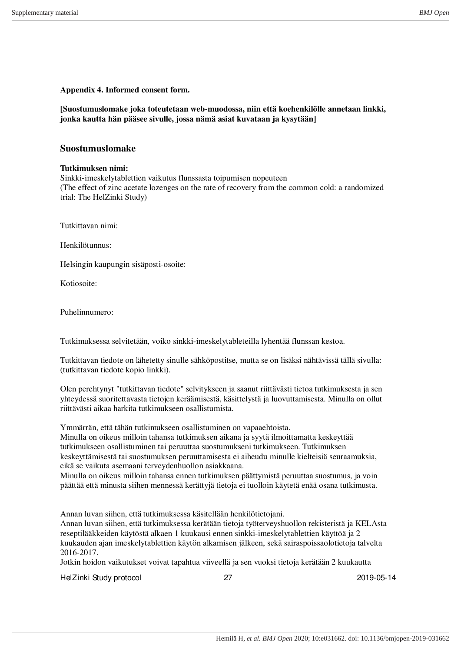**Appendix 4. Informed consent form.**

**[Suostumuslomake joka toteutetaan web-muodossa, niin että koehenkilölle annetaan linkki, jonka kautta hän pääsee sivulle, jossa nämä asiat kuvataan ja kysytään]**

# **Suostumuslomake**

# **Tutkimuksen nimi:**

Sinkki-imeskelytablettien vaikutus flunssasta toipumisen nopeuteen (The effect of zinc acetate lozenges on the rate of recovery from the common cold: a randomized trial: The HelZinki Study)

Tutkittavan nimi:

Henkilötunnus:

Helsingin kaupungin sisäposti-osoite:

Kotiosoite:

Puhelinnumero:

Tutkimuksessa selvitetään, voiko sinkki-imeskelytableteilla lyhentää flunssan kestoa.

Tutkittavan tiedote on lähetetty sinulle sähköpostitse, mutta se on lisäksi nähtävissä tällä sivulla: (tutkittavan tiedote kopio linkki).

Olen perehtynyt "tutkittavan tiedote" selvitykseen ja saanut riittävästi tietoa tutkimuksesta ja sen yhteydessä suoritettavasta tietojen keräämisestä, käsittelystä ja luovuttamisesta. Minulla on ollut riittävästi aikaa harkita tutkimukseen osallistumista.

Ymmärrän, että tähän tutkimukseen osallistuminen on vapaaehtoista.

Minulla on oikeus milloin tahansa tutkimuksen aikana ja syytä ilmoittamatta keskeyttää tutkimukseen osallistuminen tai peruuttaa suostumukseni tutkimukseen. Tutkimuksen keskeyttämisestä tai suostumuksen peruuttamisesta ei aiheudu minulle kielteisiä seuraamuksia, eikä se vaikuta asemaani terveydenhuollon asiakkaana.

Minulla on oikeus milloin tahansa ennen tutkimuksen päättymistä peruuttaa suostumus, ja voin päättää että minusta siihen mennessä kerättyjä tietoja ei tuolloin käytetä enää osana tutkimusta.

Annan luvan siihen, että tutkimuksessa käsitellään henkilötietojani.

Annan luvan siihen, että tutkimuksessa kerätään tietoja työterveyshuollon rekisteristä ja KELAsta reseptilääkkeiden käytöstä alkaen 1 kuukausi ennen sinkki-imeskelytablettien käyttöä ja 2 kuukauden ajan imeskelytablettien käytön alkamisen jälkeen, sekä sairaspoissaolotietoja talvelta 2016-2017.

Jotkin hoidon vaikutukset voivat tapahtua viiveellä ja sen vuoksi tietoja kerätään 2 kuukautta

HelZinki Study protocol 27 2019-05-14